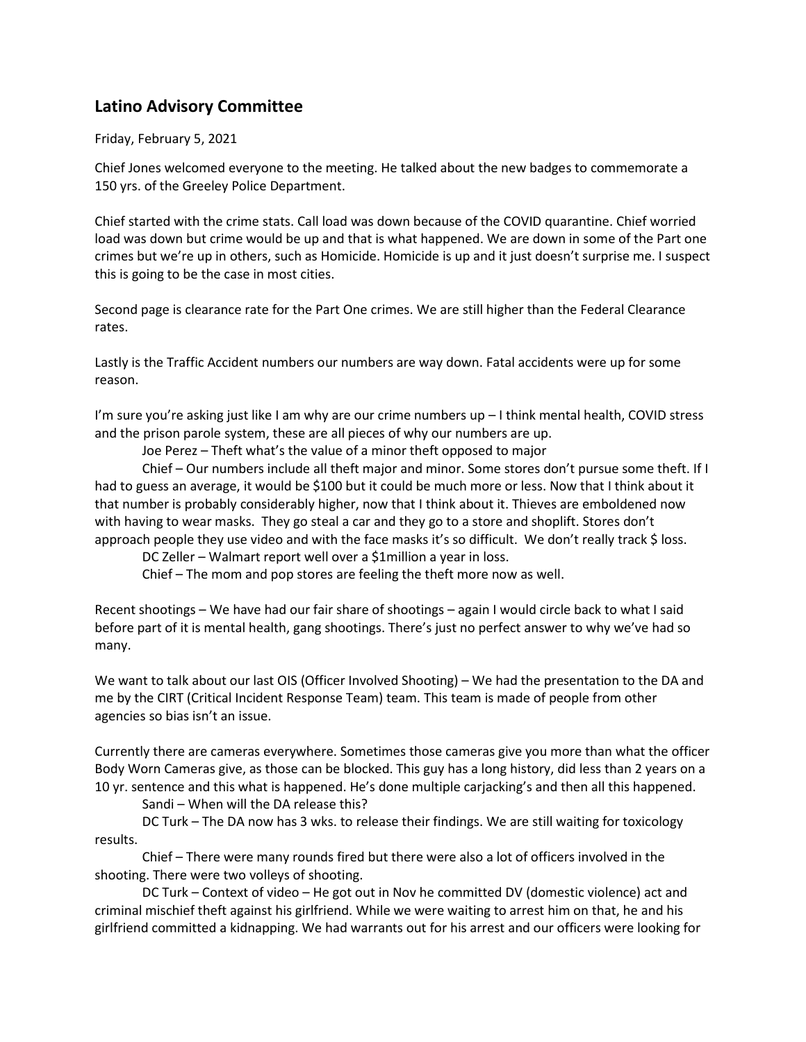## **Latino Advisory Committee**

Friday, February 5, 2021

Chief Jones welcomed everyone to the meeting. He talked about the new badges to commemorate a 150 yrs. of the Greeley Police Department.

Chief started with the crime stats. Call load was down because of the COVID quarantine. Chief worried load was down but crime would be up and that is what happened. We are down in some of the Part one crimes but we're up in others, such as Homicide. Homicide is up and it just doesn't surprise me. I suspect this is going to be the case in most cities.

Second page is clearance rate for the Part One crimes. We are still higher than the Federal Clearance rates.

Lastly is the Traffic Accident numbers our numbers are way down. Fatal accidents were up for some reason.

I'm sure you're asking just like I am why are our crime numbers up – I think mental health, COVID stress and the prison parole system, these are all pieces of why our numbers are up.

Joe Perez – Theft what's the value of a minor theft opposed to major

Chief – Our numbers include all theft major and minor. Some stores don't pursue some theft. If I had to guess an average, it would be \$100 but it could be much more or less. Now that I think about it that number is probably considerably higher, now that I think about it. Thieves are emboldened now with having to wear masks. They go steal a car and they go to a store and shoplift. Stores don't approach people they use video and with the face masks it's so difficult. We don't really track \$ loss.

DC Zeller – Walmart report well over a \$1million a year in loss.

Chief – The mom and pop stores are feeling the theft more now as well.

Recent shootings – We have had our fair share of shootings – again I would circle back to what I said before part of it is mental health, gang shootings. There's just no perfect answer to why we've had so many.

We want to talk about our last OIS (Officer Involved Shooting) – We had the presentation to the DA and me by the CIRT (Critical Incident Response Team) team. This team is made of people from other agencies so bias isn't an issue.

Currently there are cameras everywhere. Sometimes those cameras give you more than what the officer Body Worn Cameras give, as those can be blocked. This guy has a long history, did less than 2 years on a 10 yr. sentence and this what is happened. He's done multiple carjacking's and then all this happened.

Sandi – When will the DA release this?

DC Turk – The DA now has 3 wks. to release their findings. We are still waiting for toxicology results.

Chief – There were many rounds fired but there were also a lot of officers involved in the shooting. There were two volleys of shooting.

DC Turk – Context of video – He got out in Nov he committed DV (domestic violence) act and criminal mischief theft against his girlfriend. While we were waiting to arrest him on that, he and his girlfriend committed a kidnapping. We had warrants out for his arrest and our officers were looking for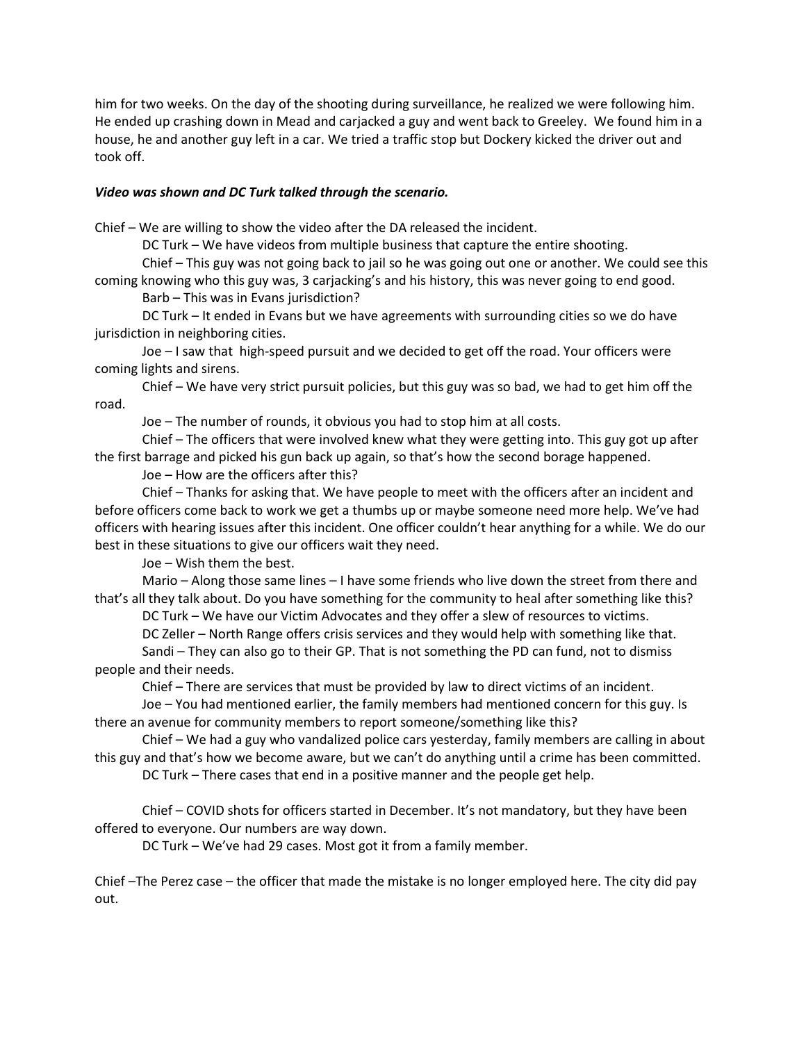him for two weeks. On the day of the shooting during surveillance, he realized we were following him. He ended up crashing down in Mead and carjacked a guy and went back to Greeley. We found him in a house, he and another guy left in a car. We tried a traffic stop but Dockery kicked the driver out and took off.

## *Video was shown and DC Turk talked through the scenario.*

Chief – We are willing to show the video after the DA released the incident.

DC Turk – We have videos from multiple business that capture the entire shooting.

Chief – This guy was not going back to jail so he was going out one or another. We could see this coming knowing who this guy was, 3 carjacking's and his history, this was never going to end good.

Barb – This was in Evans jurisdiction?

DC Turk – It ended in Evans but we have agreements with surrounding cities so we do have jurisdiction in neighboring cities.

Joe – I saw that high-speed pursuit and we decided to get off the road. Your officers were coming lights and sirens.

Chief – We have very strict pursuit policies, but this guy was so bad, we had to get him off the road.

Joe – The number of rounds, it obvious you had to stop him at all costs.

Chief – The officers that were involved knew what they were getting into. This guy got up after the first barrage and picked his gun back up again, so that's how the second borage happened.

Joe – How are the officers after this?

Chief – Thanks for asking that. We have people to meet with the officers after an incident and before officers come back to work we get a thumbs up or maybe someone need more help. We've had officers with hearing issues after this incident. One officer couldn't hear anything for a while. We do our best in these situations to give our officers wait they need.

Joe – Wish them the best.

Mario – Along those same lines – I have some friends who live down the street from there and that's all they talk about. Do you have something for the community to heal after something like this?

DC Turk – We have our Victim Advocates and they offer a slew of resources to victims.

DC Zeller – North Range offers crisis services and they would help with something like that.

Sandi – They can also go to their GP. That is not something the PD can fund, not to dismiss people and their needs.

Chief – There are services that must be provided by law to direct victims of an incident.

Joe – You had mentioned earlier, the family members had mentioned concern for this guy. Is there an avenue for community members to report someone/something like this?

Chief – We had a guy who vandalized police cars yesterday, family members are calling in about this guy and that's how we become aware, but we can't do anything until a crime has been committed.

DC Turk – There cases that end in a positive manner and the people get help.

Chief – COVID shots for officers started in December. It's not mandatory, but they have been offered to everyone. Our numbers are way down.

DC Turk – We've had 29 cases. Most got it from a family member.

Chief –The Perez case – the officer that made the mistake is no longer employed here. The city did pay out.